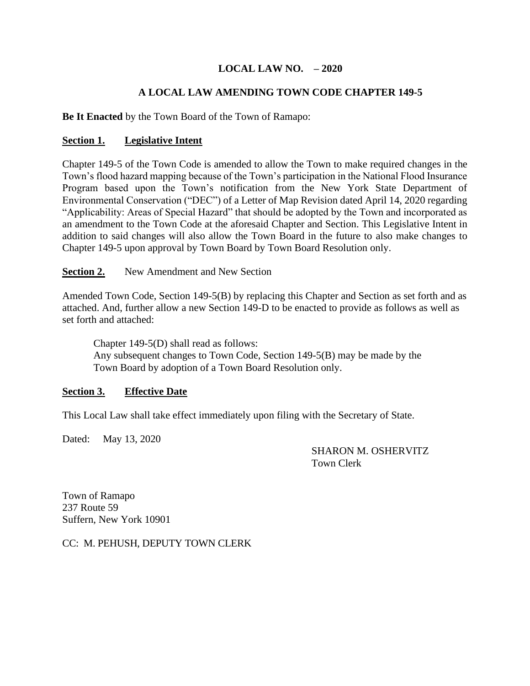# **LOCAL LAW NO. – 2020**

# **A LOCAL LAW AMENDING TOWN CODE CHAPTER 149-5**

### **Be It Enacted** by the Town Board of the Town of Ramapo:

### **Section 1. Legislative Intent**

Chapter 149-5 of the Town Code is amended to allow the Town to make required changes in the Town's flood hazard mapping because of the Town's participation in the National Flood Insurance Program based upon the Town's notification from the New York State Department of Environmental Conservation ("DEC") of a Letter of Map Revision dated April 14, 2020 regarding "Applicability: Areas of Special Hazard" that should be adopted by the Town and incorporated as an amendment to the Town Code at the aforesaid Chapter and Section. This Legislative Intent in addition to said changes will also allow the Town Board in the future to also make changes to Chapter 149-5 upon approval by Town Board by Town Board Resolution only.

**Section 2.** New Amendment and New Section

Amended Town Code, Section 149-5(B) by replacing this Chapter and Section as set forth and as attached. And, further allow a new Section 149-D to be enacted to provide as follows as well as set forth and attached:

Chapter 149-5(D) shall read as follows: Any subsequent changes to Town Code, Section 149-5(B) may be made by the Town Board by adoption of a Town Board Resolution only.

### **Section 3. Effective Date**

This Local Law shall take effect immediately upon filing with the Secretary of State.

Dated: May 13, 2020

 SHARON M. OSHERVITZ Town Clerk

Town of Ramapo 237 Route 59 Suffern, New York 10901

CC: M. PEHUSH, DEPUTY TOWN CLERK